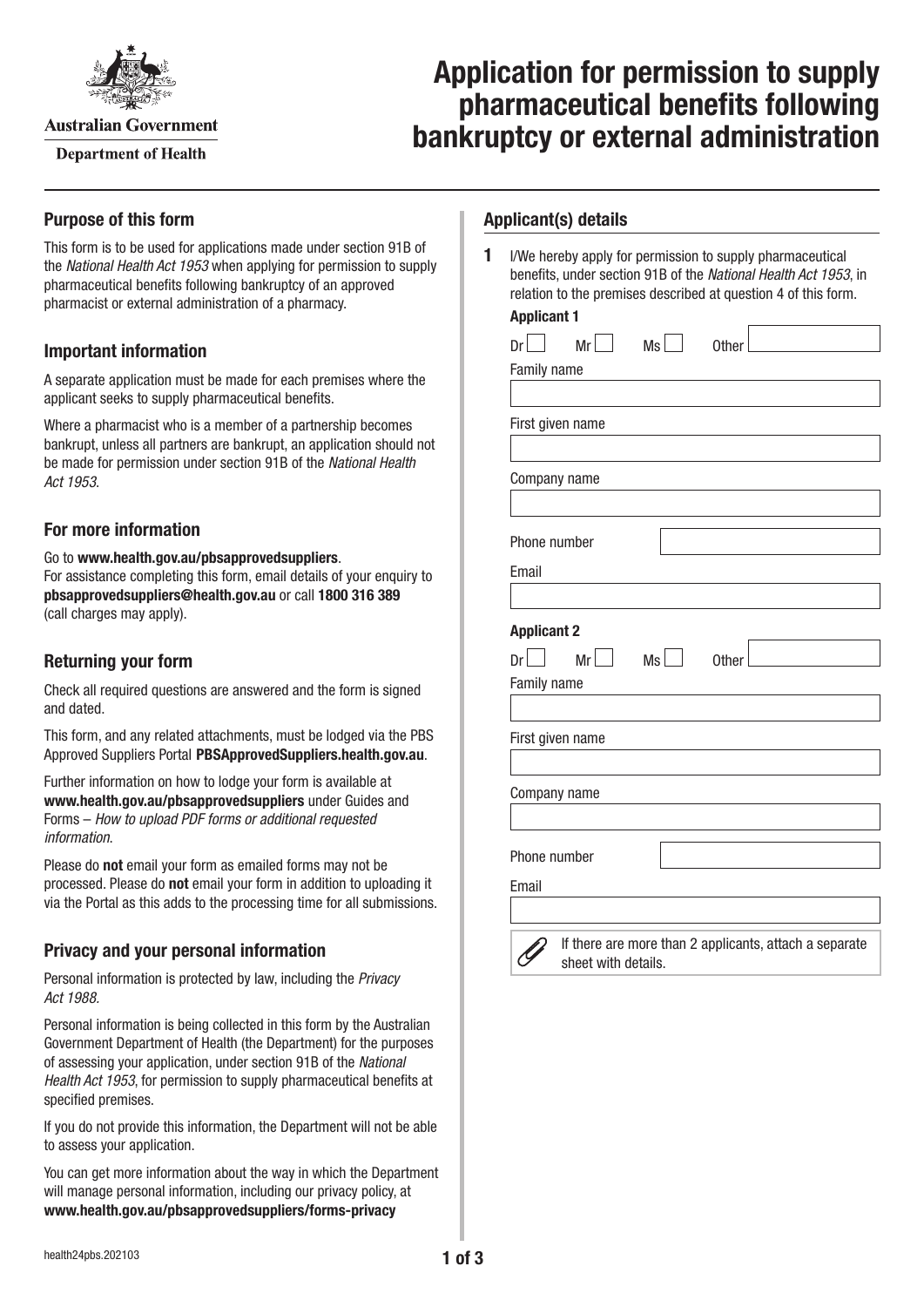

**Australian Government** 

**Department of Health** 

# **Application for permission to supply pharmaceutical benefits following bankruptcy or external administration**

# **Purpose of this form**

This form is to be used for applications made under section 91B of the *National Health Act 1953* when applying for permission to supply pharmaceutical benefits following bankruptcy of an approved pharmacist or external administration of a pharmacy.

# **Important information**

A separate application must be made for each premises where the applicant seeks to supply pharmaceutical benefits.

Where a pharmacist who is a member of a partnership becomes bankrupt, unless all partners are bankrupt, an application should not be made for permission under section 91B of the *National Health Act 1953*.

# **For more information**

Go to **[www.health.gov.au/pbsapprovedsuppliers](http://www.health.gov.au/pbsapprovedsuppliers)**. For assistance completing this form, email details of your enquiry to **[pbsapprovedsuppliers@health.gov.au](mailto:pbsapprovedsuppliers@health.gov.au)** or call **1800 316 389** (call charges may apply).

# **Returning your form**

Check all required questions are answered and the form is signed and dated.

This form, and any related attachments, must be lodged via the PBS Approved Suppliers Portal [PBSApprovedSuppliers.health.gov.au](https://pbsapprovedsuppliers.health.gov.au).

Further information on how to lodge your form is available at **[www.health.gov.au/pbsapprovedsuppliers](www.health.gov.auwww.health.gov.au/pbsapprovedsuppliers)** under Guides and Forms – *How to upload PDF forms or additional requested information*.

Please do **not** email your form as emailed forms may not be processed. Please do **not** email your form in addition to uploading it via the Portal as this adds to the processing time for all submissions.

# **Privacy and your personal information**

Personal information is protected by law, including the *Privacy Act 1988.*

Personal information is being collected in this form by the Australian Government Department of Health (the Department) for the purposes of assessing your application, under section 91B of the *National Health Act 1953*, for permission to supply pharmaceutical benefits at specified premises.

If you do not provide this information, the Department will not be able to assess your application.

You can get more information about the way in which the Department will manage personal information, including our privacy policy, at **[www.health.gov.au/pbsapprovedsuppliers/forms-privacy](http://www.health.gov.au/pbsapprovedsuppliers/forms-privacy)**

## **Applicant(s) details**

**1** I/We hereby apply for permission to supply pharmaceutical benefits, under section 91B of the *National Health Act 1953*, in relation to the premises described at question 4 of this form.

#### **Applicant 1**

| Dr                                                                            | Mr                 | Ms | Other |  |  |  |  |
|-------------------------------------------------------------------------------|--------------------|----|-------|--|--|--|--|
| Family name                                                                   |                    |    |       |  |  |  |  |
|                                                                               |                    |    |       |  |  |  |  |
| First given name                                                              |                    |    |       |  |  |  |  |
|                                                                               |                    |    |       |  |  |  |  |
| Company name                                                                  |                    |    |       |  |  |  |  |
|                                                                               |                    |    |       |  |  |  |  |
| Phone number                                                                  |                    |    |       |  |  |  |  |
| Email                                                                         |                    |    |       |  |  |  |  |
|                                                                               |                    |    |       |  |  |  |  |
|                                                                               | <b>Applicant 2</b> |    |       |  |  |  |  |
| $Dr$                                                                          |                    |    |       |  |  |  |  |
| Family name                                                                   |                    |    |       |  |  |  |  |
|                                                                               |                    |    |       |  |  |  |  |
| First given name                                                              |                    |    |       |  |  |  |  |
|                                                                               |                    |    |       |  |  |  |  |
| Company name                                                                  |                    |    |       |  |  |  |  |
|                                                                               |                    |    |       |  |  |  |  |
| Phone number                                                                  |                    |    |       |  |  |  |  |
| Email                                                                         |                    |    |       |  |  |  |  |
|                                                                               |                    |    |       |  |  |  |  |
| If there are more than 2 applicants, attach a separate<br>sheet with details. |                    |    |       |  |  |  |  |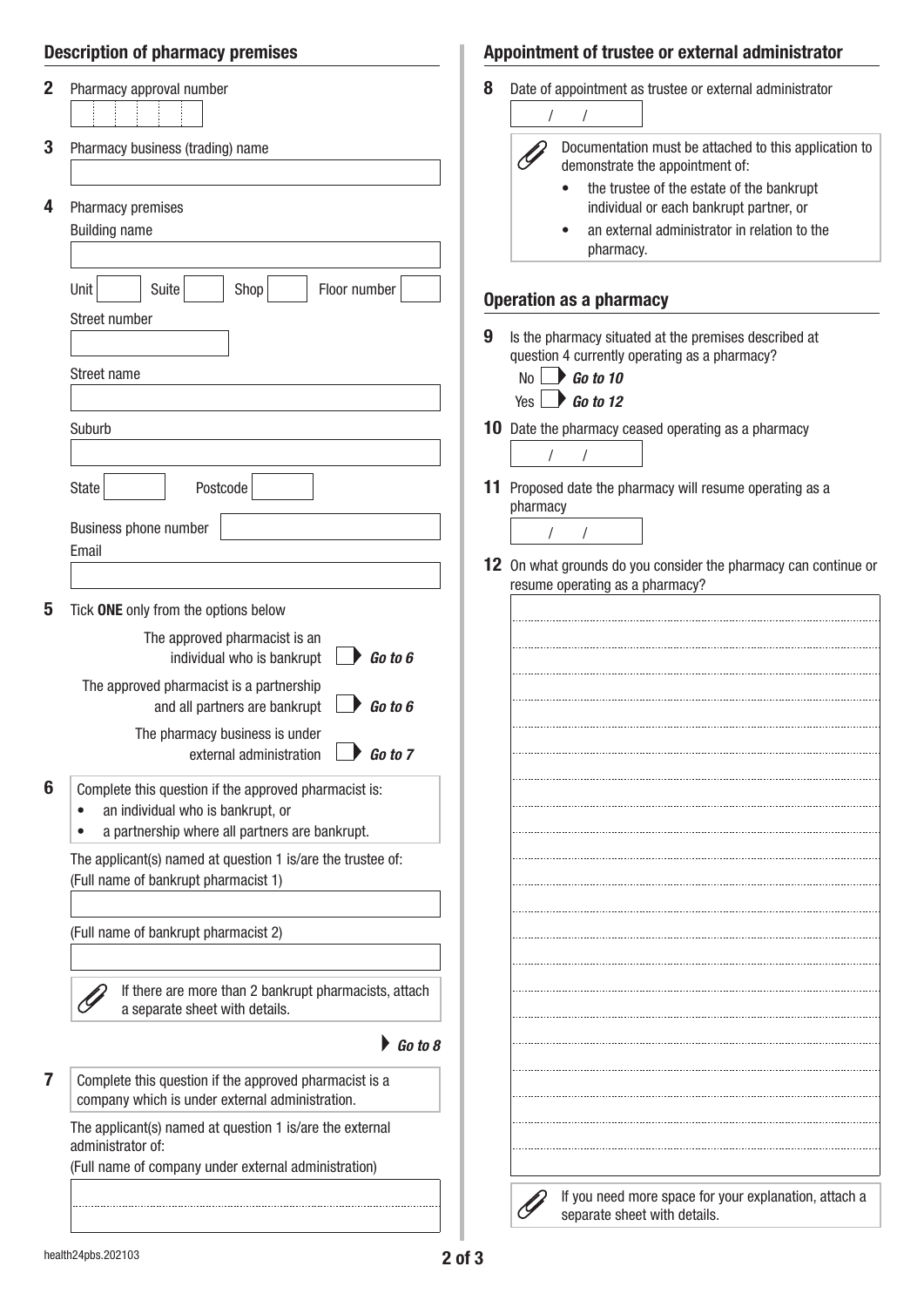|             | <b>Description of pharmacy premises</b>                                                                                                                                                                                                | Appointment of trustee or external administrator |                                                                                                                                                                                                                                                                                                           |  |
|-------------|----------------------------------------------------------------------------------------------------------------------------------------------------------------------------------------------------------------------------------------|--------------------------------------------------|-----------------------------------------------------------------------------------------------------------------------------------------------------------------------------------------------------------------------------------------------------------------------------------------------------------|--|
| 2<br>3<br>4 | Pharmacy approval number<br>Pharmacy business (trading) name<br>Pharmacy premises<br><b>Building name</b>                                                                                                                              | 8                                                | Date of appointment as trustee or external administrator<br>Documentation must be attached to this application to<br>demonstrate the appointment of:<br>the trustee of the estate of the bankrupt<br>individual or each bankrupt partner, or<br>an external administrator in relation to the<br>pharmacy. |  |
|             | Suite<br>Shop<br>Floor number<br>Unit                                                                                                                                                                                                  |                                                  |                                                                                                                                                                                                                                                                                                           |  |
|             | Street number<br>Street name<br>Suburb                                                                                                                                                                                                 |                                                  | <b>Operation as a pharmacy</b><br>9<br>Is the pharmacy situated at the premises described at<br>question 4 currently operating as a pharmacy?<br>Go to 10<br>No<br>$\bigcup$ Go to 12<br>Yes  <br>Date the pharmacy ceased operating as a pharmacy<br>10                                                  |  |
|             |                                                                                                                                                                                                                                        |                                                  |                                                                                                                                                                                                                                                                                                           |  |
|             | Postcode<br><b>State</b>                                                                                                                                                                                                               |                                                  | 11 Proposed date the pharmacy will resume operating as a<br>pharmacy                                                                                                                                                                                                                                      |  |
|             | Business phone number<br>Email                                                                                                                                                                                                         |                                                  |                                                                                                                                                                                                                                                                                                           |  |
|             |                                                                                                                                                                                                                                        |                                                  | 12 On what grounds do you consider the pharmacy can continue or<br>resume operating as a pharmacy?                                                                                                                                                                                                        |  |
| 5           | Tick ONE only from the options below                                                                                                                                                                                                   |                                                  |                                                                                                                                                                                                                                                                                                           |  |
|             | The approved pharmacist is an<br>Go to 6<br>individual who is bankrupt<br>The approved pharmacist is a partnership<br>and all partners are bankrupt<br>Go to 6<br>The pharmacy business is under<br>Go to 7<br>external administration |                                                  |                                                                                                                                                                                                                                                                                                           |  |
| 6           | Complete this question if the approved pharmacist is:<br>an individual who is bankrupt, or<br>٠<br>a partnership where all partners are bankrupt.                                                                                      |                                                  |                                                                                                                                                                                                                                                                                                           |  |
|             | The applicant(s) named at question 1 is/are the trustee of:<br>(Full name of bankrupt pharmacist 1)                                                                                                                                    |                                                  |                                                                                                                                                                                                                                                                                                           |  |
|             | (Full name of bankrupt pharmacist 2)                                                                                                                                                                                                   |                                                  |                                                                                                                                                                                                                                                                                                           |  |
|             | If there are more than 2 bankrupt pharmacists, attach<br>a separate sheet with details.                                                                                                                                                |                                                  |                                                                                                                                                                                                                                                                                                           |  |
|             | $\triangleright$ Go to 8                                                                                                                                                                                                               |                                                  |                                                                                                                                                                                                                                                                                                           |  |
| 7           | Complete this question if the approved pharmacist is a<br>company which is under external administration.                                                                                                                              |                                                  |                                                                                                                                                                                                                                                                                                           |  |
|             | The applicant(s) named at question 1 is/are the external<br>administrator of:                                                                                                                                                          |                                                  |                                                                                                                                                                                                                                                                                                           |  |
|             | (Full name of company under external administration)                                                                                                                                                                                   |                                                  |                                                                                                                                                                                                                                                                                                           |  |
|             |                                                                                                                                                                                                                                        |                                                  | If you need more space for your explanation, attach a<br>separate sheet with details.                                                                                                                                                                                                                     |  |